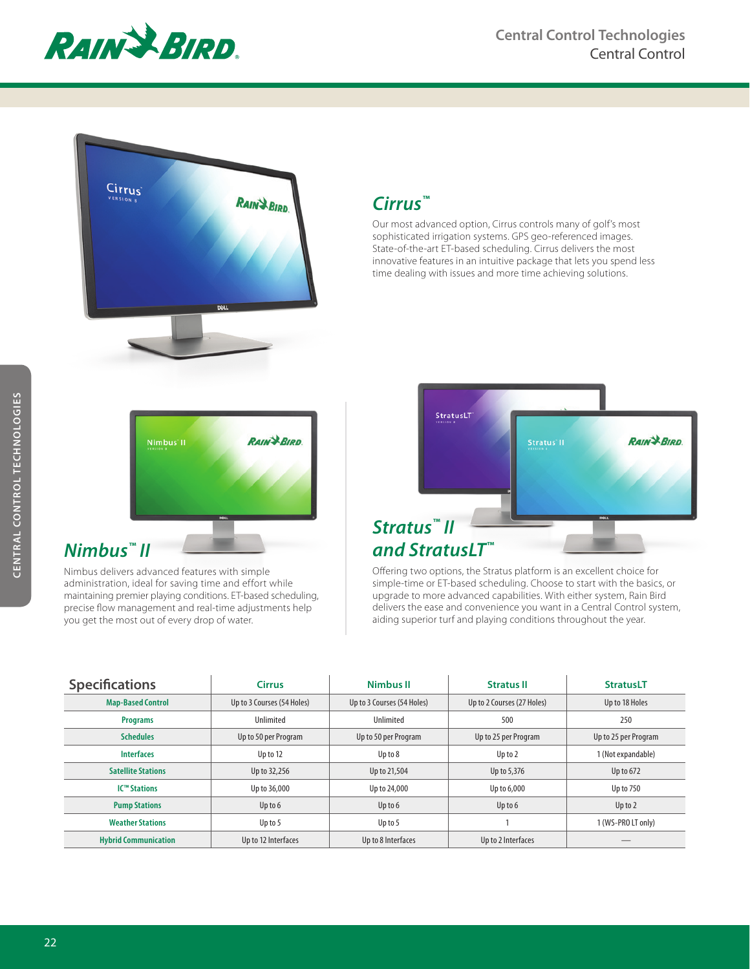



## *Cirrus™*

Our most advanced option, Cirrus controls many of golf's most sophisticated irrigation systems. GPS geo-referenced images. State-of-the-art ET-based scheduling. Cirrus delivers the most innovative features in an intuitive package that lets you spend less time dealing with issues and more time achieving solutions.



## *Nimbus™ II*

Nimbus delivers advanced features with simple administration, ideal for saving time and effort while maintaining premier playing conditions. ET-based scheduling, precise flow management and real-time adjustments help you get the most out of every drop of water.



## *and StratusLT™*

Offering two options, the Stratus platform is an excellent choice for simple-time or ET-based scheduling. Choose to start with the basics, or upgrade to more advanced capabilities. With either system, Rain Bird delivers the ease and convenience you want in a Central Control system, aiding superior turf and playing conditions throughout the year.

| <b>Specifications</b>       | <b>Cirrus</b>              | <b>Nimbus II</b>           | <b>Stratus II</b>          | <b>StratusLT</b>     |  |
|-----------------------------|----------------------------|----------------------------|----------------------------|----------------------|--|
| <b>Map-Based Control</b>    | Up to 3 Courses (54 Holes) | Up to 3 Courses (54 Holes) | Up to 2 Courses (27 Holes) | Up to 18 Holes       |  |
| <b>Programs</b>             | Unlimited                  | Unlimited                  | 500                        | 250                  |  |
| <b>Schedules</b>            | Up to 50 per Program       | Up to 50 per Program       | Up to 25 per Program       | Up to 25 per Program |  |
| <b>Interfaces</b>           | Up to 12                   | Up to $8$                  | Up to 2                    | 1 (Not expandable)   |  |
| <b>Satellite Stations</b>   | Up to 32,256               | Up to 21,504               | Up to 5,376                | Up to $672$          |  |
| IC <sup>™</sup> Stations    | Up to 36,000               | Up to 24,000               | Up to 6,000                | Up to 750            |  |
| <b>Pump Stations</b>        | Up to $6$                  | Up to $6$                  | Up to $6$                  | Up to $2$            |  |
| <b>Weather Stations</b>     | Up to 5                    | Up to 5                    |                            | 1 (WS-PRO LT only)   |  |
| <b>Hybrid Communication</b> | Up to 12 Interfaces        | Up to 8 Interfaces         | Up to 2 Interfaces         |                      |  |